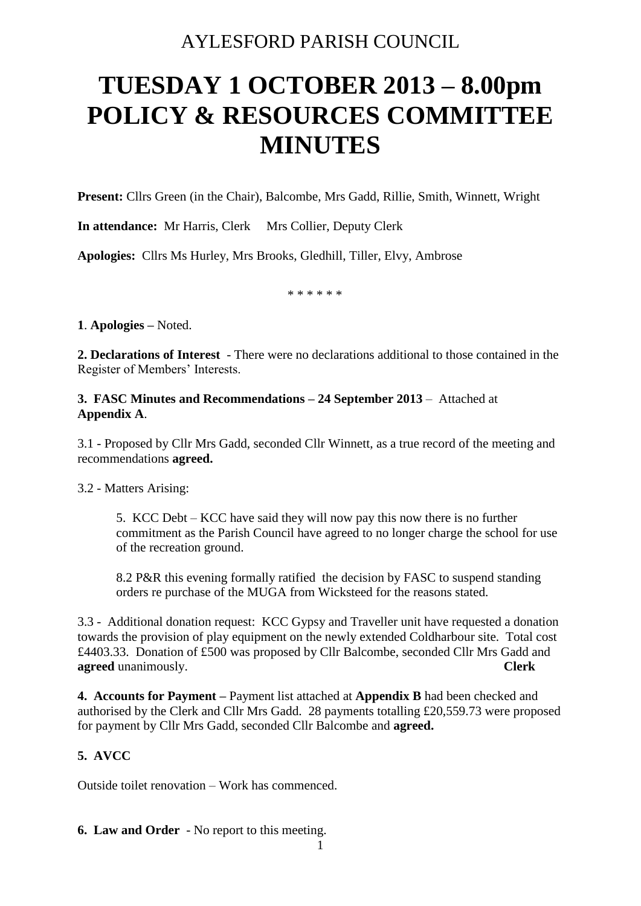# AYLESFORD PARISH COUNCIL

# **TUESDAY 1 OCTOBER 2013 – 8.00pm POLICY & RESOURCES COMMITTEE MINUTES**

**Present:** Cllrs Green (in the Chair), Balcombe, Mrs Gadd, Rillie, Smith, Winnett, Wright

**In attendance:** Mr Harris, Clerk Mrs Collier, Deputy Clerk

**Apologies:** Cllrs Ms Hurley, Mrs Brooks, Gledhill, Tiller, Elvy, Ambrose

\* \* \* \* \* \*

**1**. **Apologies –** Noted.

**2. Declarations of Interest** - There were no declarations additional to those contained in the Register of Members' Interests.

**3. FASC Minutes and Recommendations – 24 September 2013** – Attached at **Appendix A**.

3.1 - Proposed by Cllr Mrs Gadd, seconded Cllr Winnett, as a true record of the meeting and recommendations **agreed.**

3.2 - Matters Arising:

5. KCC Debt – KCC have said they will now pay this now there is no further commitment as the Parish Council have agreed to no longer charge the school for use of the recreation ground.

8.2 P&R this evening formally ratified the decision by FASC to suspend standing orders re purchase of the MUGA from Wicksteed for the reasons stated.

3.3 - Additional donation request: KCC Gypsy and Traveller unit have requested a donation towards the provision of play equipment on the newly extended Coldharbour site. Total cost £4403.33. Donation of £500 was proposed by Cllr Balcombe, seconded Cllr Mrs Gadd and **agreed** unanimously. **Clerk**

**4. Accounts for Payment –** Payment list attached at **Appendix B** had been checked and authorised by the Clerk and Cllr Mrs Gadd. 28 payments totalling £20,559.73 were proposed for payment by Cllr Mrs Gadd, seconded Cllr Balcombe and **agreed.** 

# **5. AVCC**

Outside toilet renovation – Work has commenced.

**6. Law and Order** - No report to this meeting.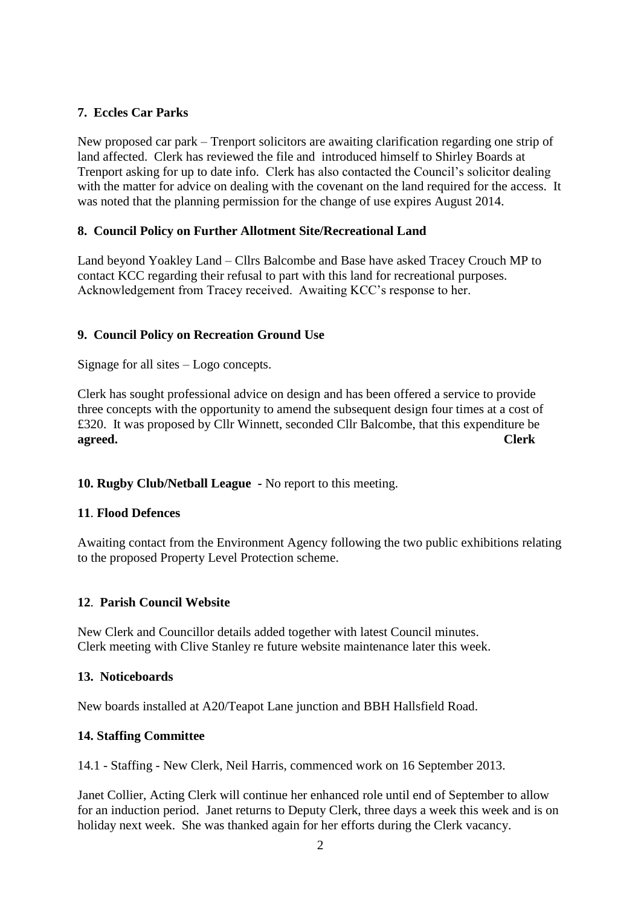# **7. Eccles Car Parks**

New proposed car park – Trenport solicitors are awaiting clarification regarding one strip of land affected. Clerk has reviewed the file and introduced himself to Shirley Boards at Trenport asking for up to date info. Clerk has also contacted the Council's solicitor dealing with the matter for advice on dealing with the covenant on the land required for the access. It was noted that the planning permission for the change of use expires August 2014.

#### **8. Council Policy on Further Allotment Site/Recreational Land**

Land beyond Yoakley Land – Cllrs Balcombe and Base have asked Tracey Crouch MP to contact KCC regarding their refusal to part with this land for recreational purposes. Acknowledgement from Tracey received. Awaiting KCC's response to her.

# **9. Council Policy on Recreation Ground Use**

Signage for all sites – Logo concepts.

Clerk has sought professional advice on design and has been offered a service to provide three concepts with the opportunity to amend the subsequent design four times at a cost of £320. It was proposed by Cllr Winnett, seconded Cllr Balcombe, that this expenditure be **agreed. Clerk**

#### **10. Rugby Club/Netball League -** No report to this meeting.

#### **11**. **Flood Defences**

Awaiting contact from the Environment Agency following the two public exhibitions relating to the proposed Property Level Protection scheme.

#### **12**. **Parish Council Website**

New Clerk and Councillor details added together with latest Council minutes. Clerk meeting with Clive Stanley re future website maintenance later this week.

#### **13. Noticeboards**

New boards installed at A20/Teapot Lane junction and BBH Hallsfield Road.

#### **14. Staffing Committee**

14.1 - Staffing - New Clerk, Neil Harris, commenced work on 16 September 2013.

Janet Collier, Acting Clerk will continue her enhanced role until end of September to allow for an induction period. Janet returns to Deputy Clerk, three days a week this week and is on holiday next week. She was thanked again for her efforts during the Clerk vacancy.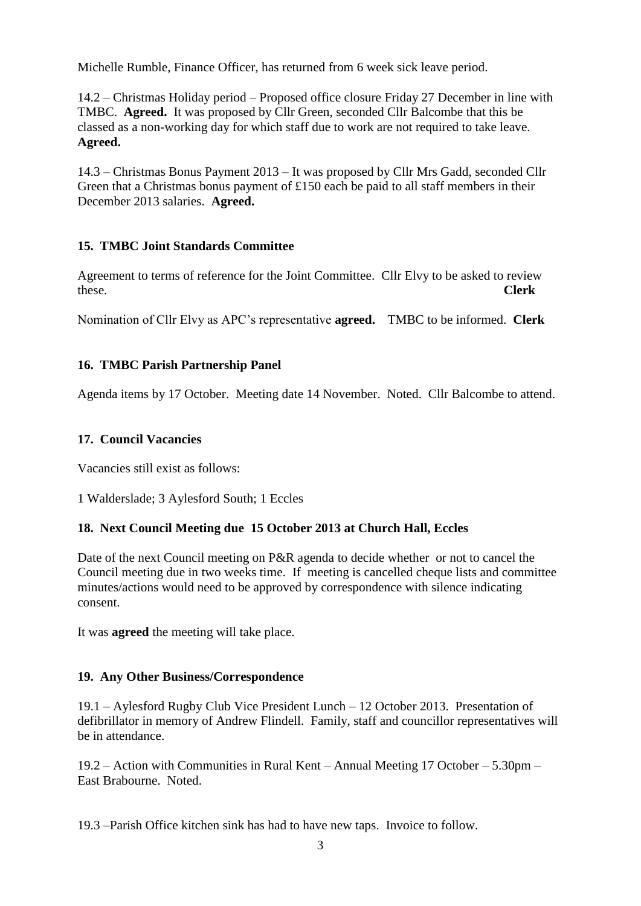Michelle Rumble, Finance Officer, has returned from 6 week sick leave period.

14.2 – Christmas Holiday period – Proposed office closure Friday 27 December in line with TMBC. **Agreed.** It was proposed by Cllr Green, seconded Cllr Balcombe that this be classed as a non-working day for which staff due to work are not required to take leave. **Agreed.**

14.3 – Christmas Bonus Payment 2013 – It was proposed by Cllr Mrs Gadd, seconded Cllr Green that a Christmas bonus payment of £150 each be paid to all staff members in their December 2013 salaries. **Agreed.**

# **15. TMBC Joint Standards Committee**

Agreement to terms of reference for the Joint Committee. Cllr Elvy to be asked to review these. **Clerk**

Nomination of Cllr Elvy as APC's representative **agreed.** TMBC to be informed. **Clerk**

#### **16. TMBC Parish Partnership Panel**

Agenda items by 17 October. Meeting date 14 November. Noted. Cllr Balcombe to attend.

#### **17. Council Vacancies**

Vacancies still exist as follows:

1 Walderslade; 3 Aylesford South; 1 Eccles

#### **18. Next Council Meeting due 15 October 2013 at Church Hall, Eccles**

Date of the next Council meeting on P&R agenda to decide whether or not to cancel the Council meeting due in two weeks time. If meeting is cancelled cheque lists and committee minutes/actions would need to be approved by correspondence with silence indicating consent.

It was **agreed** the meeting will take place.

#### **19. Any Other Business/Correspondence**

19.1 – Aylesford Rugby Club Vice President Lunch – 12 October 2013. Presentation of defibrillator in memory of Andrew Flindell. Family, staff and councillor representatives will be in attendance.

19.2 – Action with Communities in Rural Kent – Annual Meeting 17 October – 5.30pm – East Brabourne. Noted.

19.3 –Parish Office kitchen sink has had to have new taps. Invoice to follow.